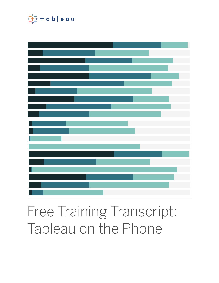

# Free Training Transcript: Tableau on the Phone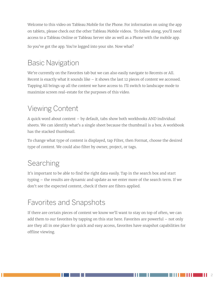Welcome to this video on Tableau Mobile for the Phone. For information on using the app on tablets, please check out the other Tableau Mobile videos. To follow along, you'll need access to a Tableau Online or Tableau Server site as well as a Phone with the mobile app.

So you've got the app. You're logged into your site. Now what?

## Basic Navigation

We're currently on the Favorites tab but we can also easily navigate to Recents or All. Recent is exactly what it sounds like – it shows the last 12 pieces of content we accessed. Tapping All brings up all the content we have access to. I'll switch to landscape mode to maximize screen real-estate for the purposes of this video.

# Viewing Content

A quick word about content – by default, tabs show both workbooks AND individual sheets. We can identify what's a single sheet because the thumbnail is a box. A workbook has the stacked thumbnail.

To change what type of content is displayed, tap Filter, then Format, choose the desired type of content. We could also filter by owner, project, or tags.

## Searching

It's important to be able to find the right data easily. Tap in the search box and start typing – the results are dynamic and update as we enter more of the search term. If we don't see the expected content, check if there are filters applied.

## Favorites and Snapshots

If there are certain pieces of content we know we'll want to stay on top of often, we can add them to our favorites by tapping on this star here. Favorites are powerful – not only are they all in one place for quick and easy access, favorites have snapshot capabilities for offline viewing.